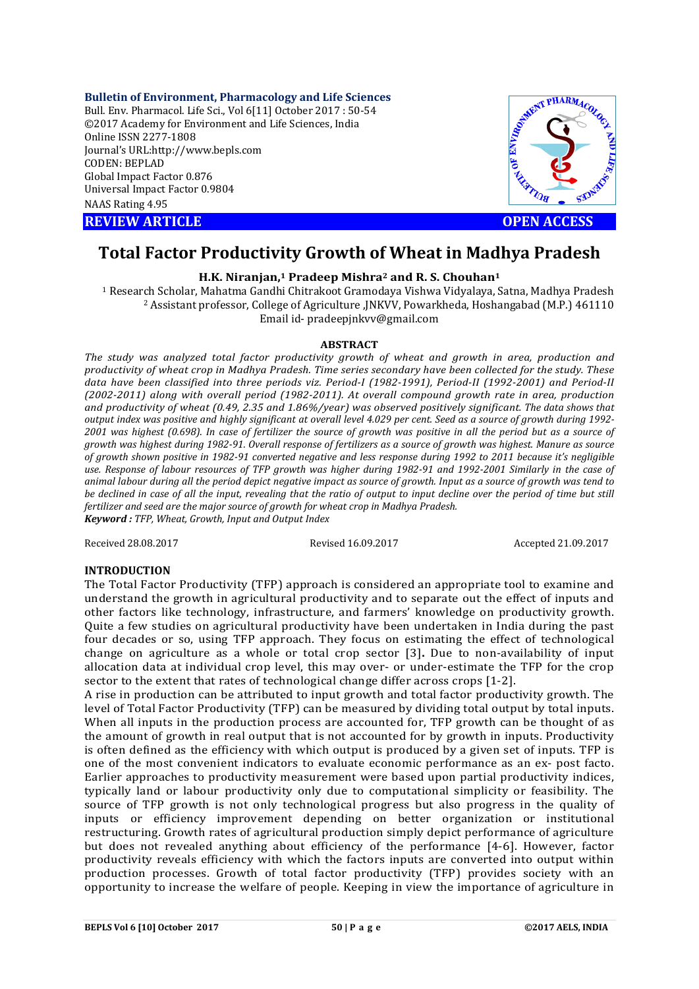#### **Bulletin of Environment, Pharmacology and Life Sciences**

Bull. Env. Pharmacol. Life Sci., Vol 6[11] October 2017 : 50-54 ©2017 Academy for Environment and Life Sciences, India Online ISSN 2277-1808 Journal's URL:http://www.bepls.com CODEN: BEPLAD Global Impact Factor 0.876 Universal Impact Factor 0.9804 NAAS Rating 4.95

**REVIEW ARTICLE CONSUMING A REVIEW ARTICLE** 



# **Total Factor Productivity Growth of Wheat in Madhya Pradesh**

## **H.K. Niranjan,1 Pradeep Mishra2 and R. S. Chouhan1**

<sup>1</sup> Research Scholar, Mahatma Gandhi Chitrakoot Gramodaya Vishwa Vidyalaya, Satna, Madhya Pradesh <sup>2</sup> Assistant professor, College of Agriculture ,JNKVV, Powarkheda, Hoshangabad (M.P.) 461110 Email id- pradeepjnkvv@gmail.com

#### **ABSTRACT**

*The study was analyzed total factor productivity growth of wheat and growth in area, production and productivity of wheat crop in Madhya Pradesh. Time series secondary have been collected for the study. These data have been classified into three periods viz. Period-I (1982-1991), Period-II (1992-2001) and Period-II (2002-2011) along with overall period (1982-2011). At overall compound growth rate in area, production and productivity of wheat (0.49, 2.35 and 1.86%/year) was observed positively significant. The data shows that output index was positive and highly significant at overall level 4.029 per cent. Seed as a source of growth during 1992-* 2001 was highest (0.698). In case of fertilizer the source of growth was positive in all the period but as a source of *growth was highest during 1982-91. Overall response of fertilizers as a source of growth was highest. Manure as source of growth shown positive in 1982-91 converted negative and less response during 1992 to 2011 because it's negligible*  use. Response of labour resources of TFP growth was higher during 1982-91 and 1992-2001 Similarly in the case of *animal labour during all the period depict negative impact as source of growth. Input as a source of growth was tend to be declined in case of all the input, revealing that the ratio of output to input decline over the period of time but still fertilizer and seed are the major source of growth for wheat crop in Madhya Pradesh. Keyword : TFP, Wheat, Growth, Input and Output Index*

Received 28.08.2017 Revised 16.09.2017 Accepted 21.09.2017

#### **INTRODUCTION**

The Total Factor Productivity (TFP) approach is considered an appropriate tool to examine and understand the growth in agricultural productivity and to separate out the effect of inputs and other factors like technology, infrastructure, and farmers' knowledge on productivity growth. Quite a few studies on agricultural productivity have been undertaken in India during the past four decades or so, using TFP approach. They focus on estimating the effect of technological change on agriculture as a whole or total crop sector [3]**.** Due to non-availability of input allocation data at individual crop level, this may over- or under-estimate the TFP for the crop sector to the extent that rates of technological change differ across crops [1-2].

A rise in production can be attributed to input growth and total factor productivity growth. The level of Total Factor Productivity (TFP) can be measured by dividing total output by total inputs. When all inputs in the production process are accounted for, TFP growth can be thought of as the amount of growth in real output that is not accounted for by growth in inputs. Productivity is often defined as the efficiency with which output is produced by a given set of inputs. TFP is one of the most convenient indicators to evaluate economic performance as an ex- post facto. Earlier approaches to productivity measurement were based upon partial productivity indices, typically land or labour productivity only due to computational simplicity or feasibility. The source of TFP growth is not only technological progress but also progress in the quality of inputs or efficiency improvement depending on better organization or institutional restructuring. Growth rates of agricultural production simply depict performance of agriculture but does not revealed anything about efficiency of the performance [4-6]. However, factor productivity reveals efficiency with which the factors inputs are converted into output within production processes. Growth of total factor productivity (TFP) provides society with an opportunity to increase the welfare of people. Keeping in view the importance of agriculture in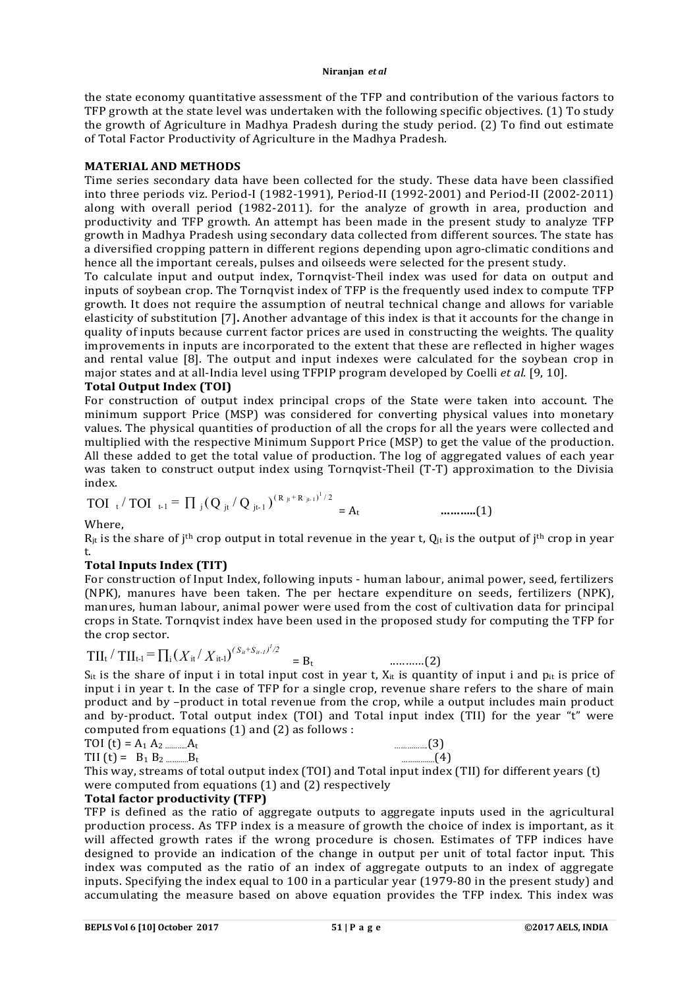the state economy quantitative assessment of the TFP and contribution of the various factors to TFP growth at the state level was undertaken with the following specific objectives. (1) To study the growth of Agriculture in Madhya Pradesh during the study period. (2) To find out estimate of Total Factor Productivity of Agriculture in the Madhya Pradesh.

## **MATERIAL AND METHODS**

Time series secondary data have been collected for the study. These data have been classified into three periods viz. Period-I (1982-1991), Period-II (1992-2001) and Period-II (2002-2011) along with overall period (1982-2011). for the analyze of growth in area, production and productivity and TFP growth. An attempt has been made in the present study to analyze TFP growth in Madhya Pradesh using secondary data collected from different sources. The state has a diversified cropping pattern in different regions depending upon agro-climatic conditions and hence all the important cereals, pulses and oilseeds were selected for the present study.

To calculate input and output index, Tornqvist-Theil index was used for data on output and inputs of soybean crop. The Tornqvist index of TFP is the frequently used index to compute TFP growth. It does not require the assumption of neutral technical change and allows for variable elasticity of substitution [7]**.** Another advantage of this index is that it accounts for the change in quality of inputs because current factor prices are used in constructing the weights. The quality improvements in inputs are incorporated to the extent that these are reflected in higher wages and rental value [8]. The output and input indexes were calculated for the soybean crop in major states and at all-India level using TFPIP program developed by Coelli *et al.* [9, 10].

## **Total Output Index (TOI)**

For construction of output index principal crops of the State were taken into account. The minimum support Price (MSP) was considered for converting physical values into monetary values. The physical quantities of production of all the crops for all the years were collected and multiplied with the respective Minimum Support Price (MSP) to get the value of the production. All these added to get the total value of production. The log of aggregated values of each year was taken to construct output index using Tornqvist-Theil (T-T) approximation to the Divisia index.

TOI 
$$
_{t} / TOI_{t-1} = \prod_{j} (Q_{jt} / Q_{jt-1})^{(R_{jt} + R_{jt-1})^{1/2}} = A_{t}
$$
 ....... (1)

Where,

 $R_{it}$  is the share of j<sup>th</sup> crop output in total revenue in the year t,  $Q_{it}$  is the output of j<sup>th</sup> crop in year t.

# **Total Inputs Index (TIT)**

For construction of Input Index, following inputs - human labour, animal power, seed, fertilizers (NPK), manures have been taken. The per hectare expenditure on seeds, fertilizers (NPK), manures, human labour, animal power were used from the cost of cultivation data for principal crops in State. Tornqvist index have been used in the proposed study for computing the TFP for the crop sector.

$$
TII_{t} / TII_{t-1} = \prod_{i} (X_{it} / X_{it-1})^{(S_{it} + S_{it-1})^{l/2}} = B_{t}
$$
 .........(2)

 $S_{it}$  is the share of input i in total input cost in year t,  $X_{it}$  is quantity of input i and  $p_{it}$  is price of input i in year t. In the case of TFP for a single crop, revenue share refers to the share of main product and by –product in total revenue from the crop, while a output includes main product and by-product. Total output index (TOI) and Total input index (TII) for the year "t" were computed from equations (1) and (2) as follows :

TII  $(t) = B_1 B_2 ... B_t$ 

TOI (t) = A1 A2 ………..At …………….(3)

This way, streams of total output index (TOI) and Total input index (TII) for different years (t) were computed from equations (1) and (2) respectively

# **Total factor productivity (TFP)**

TFP is defined as the ratio of aggregate outputs to aggregate inputs used in the agricultural production process. As TFP index is a measure of growth the choice of index is important, as it will affected growth rates if the wrong procedure is chosen. Estimates of TFP indices have designed to provide an indication of the change in output per unit of total factor input. This index was computed as the ratio of an index of aggregate outputs to an index of aggregate inputs. Specifying the index equal to 100 in a particular year (1979-80 in the present study) and accumulating the measure based on above equation provides the TFP index. This index was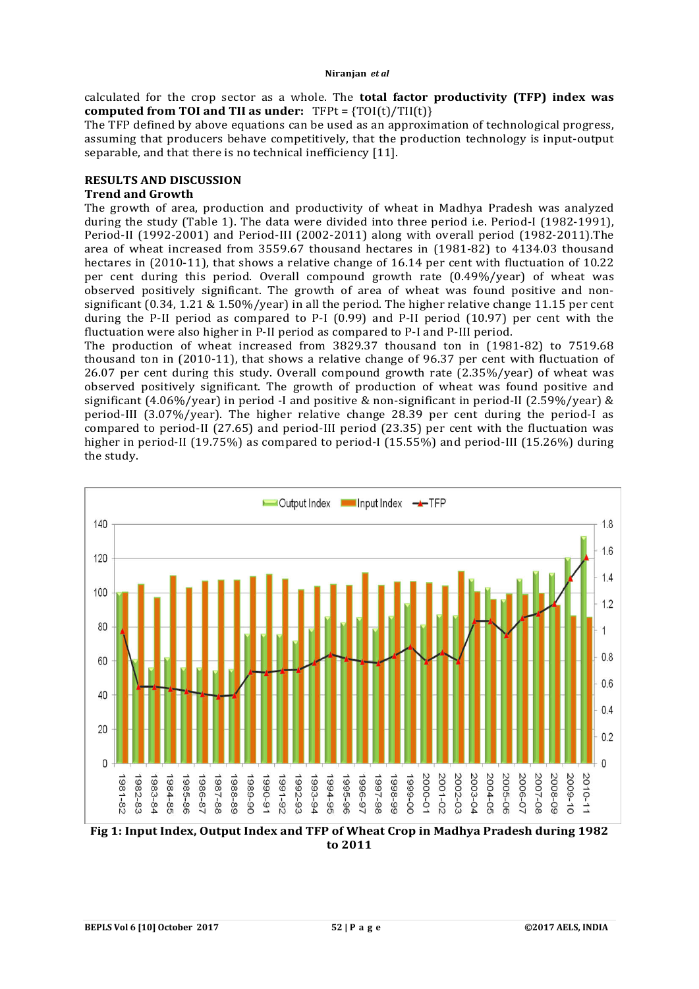calculated for the crop sector as a whole. The **total factor productivity (TFP) index was computed from TOI and TII as under:** TFPt = {TOI(t)/TII(t)}

The TFP defined by above equations can be used as an approximation of technological progress, assuming that producers behave competitively, that the production technology is input-output separable, and that there is no technical inefficiency [11].

# **RESULTS AND DISCUSSION**

#### **Trend and Growth**

The growth of area, production and productivity of wheat in Madhya Pradesh was analyzed during the study (Table 1). The data were divided into three period i.e. Period-I (1982-1991), Period-II (1992-2001) and Period-III (2002-2011) along with overall period (1982-2011).The area of wheat increased from 3559.67 thousand hectares in (1981-82) to 4134.03 thousand hectares in (2010-11), that shows a relative change of 16.14 per cent with fluctuation of 10.22 per cent during this period. Overall compound growth rate (0.49%/year) of wheat was observed positively significant. The growth of area of wheat was found positive and nonsignificant (0.34, 1.21 & 1.50%/year) in all the period. The higher relative change 11.15 per cent during the P-II period as compared to P-I  $(0.99)$  and P-II period  $(10.97)$  per cent with the fluctuation were also higher in P-II period as compared to P-I and P-III period.

The production of wheat increased from 3829.37 thousand ton in (1981-82) to 7519.68 thousand ton in (2010-11), that shows a relative change of 96.37 per cent with fluctuation of 26.07 per cent during this study. Overall compound growth rate (2.35%/year) of wheat was observed positively significant. The growth of production of wheat was found positive and significant (4.06%/year) in period -I and positive & non-significant in period-II (2.59%/year) & period-III (3.07%/year). The higher relative change 28.39 per cent during the period-I as compared to period-II (27.65) and period-III period (23.35) per cent with the fluctuation was higher in period-II (19.75%) as compared to period-I (15.55%) and period-III (15.26%) during the study.



**to 2011**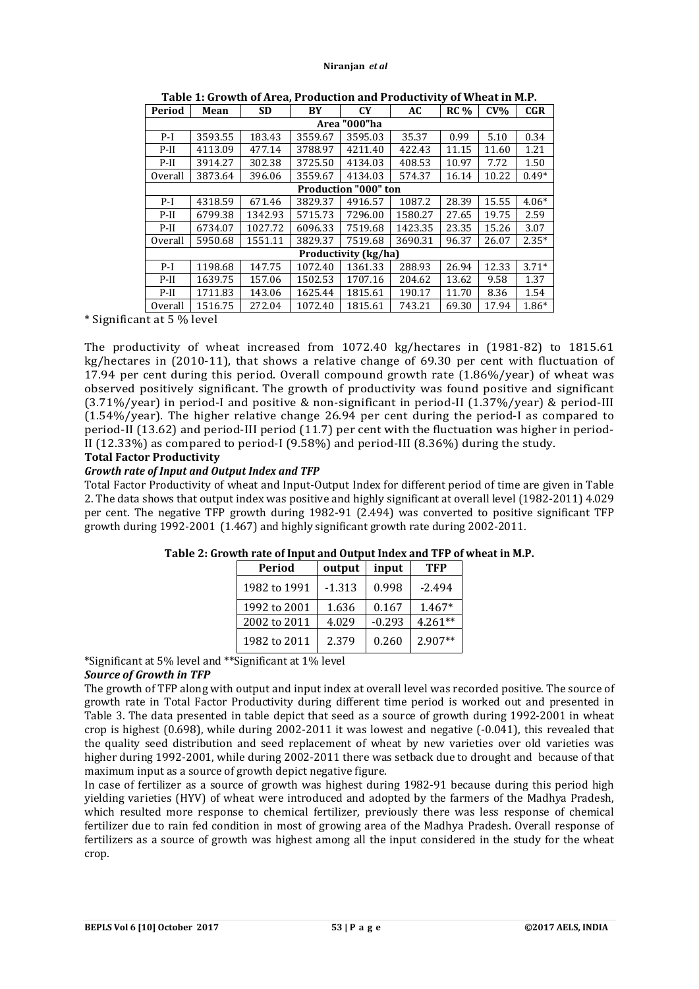| Period                      | Mean    | <b>SD</b> | BY      | <b>CY</b> | AC      | $RC\%$ | $CV\%$ | <b>CGR</b> |  |
|-----------------------------|---------|-----------|---------|-----------|---------|--------|--------|------------|--|
| Area "000"ha                |         |           |         |           |         |        |        |            |  |
| $P-I$                       | 3593.55 | 183.43    | 3559.67 | 3595.03   | 35.37   | 0.99   | 5.10   | 0.34       |  |
| $P-II$                      | 4113.09 | 477.14    | 3788.97 | 4211.40   | 422.43  | 11.15  | 11.60  | 1.21       |  |
| $P-II$                      | 3914.27 | 302.38    | 3725.50 | 4134.03   | 408.53  | 10.97  | 7.72   | 1.50       |  |
| Overall                     | 3873.64 | 396.06    | 3559.67 | 4134.03   | 574.37  | 16.14  | 10.22  | $0.49*$    |  |
| <b>Production "000" ton</b> |         |           |         |           |         |        |        |            |  |
| $P-I$                       | 4318.59 | 671.46    | 3829.37 | 4916.57   | 1087.2  | 28.39  | 15.55  | $4.06*$    |  |
| $P-II$                      | 6799.38 | 1342.93   | 5715.73 | 7296.00   | 1580.27 | 27.65  | 19.75  | 2.59       |  |
| $P-II$                      | 6734.07 | 1027.72   | 6096.33 | 7519.68   | 1423.35 | 23.35  | 15.26  | 3.07       |  |
| Overall                     | 5950.68 | 1551.11   | 3829.37 | 7519.68   | 3690.31 | 96.37  | 26.07  | $2.35*$    |  |
| Productivity (kg/ha)        |         |           |         |           |         |        |        |            |  |
| $P-I$                       | 1198.68 | 147.75    | 1072.40 | 1361.33   | 288.93  | 26.94  | 12.33  | $3.71*$    |  |
| $P-II$                      | 1639.75 | 157.06    | 1502.53 | 1707.16   | 204.62  | 13.62  | 9.58   | 1.37       |  |
| $P-II$                      | 1711.83 | 143.06    | 1625.44 | 1815.61   | 190.17  | 11.70  | 8.36   | 1.54       |  |
| Overall                     | 1516.75 | 272.04    | 1072.40 | 1815.61   | 743.21  | 69.30  | 17.94  | $1.86*$    |  |

**Table 1: Growth of Area, Production and Productivity of Wheat in M.P.**

\* Significant at 5 % level

The productivity of wheat increased from 1072.40 kg/hectares in (1981-82) to 1815.61 kg/hectares in (2010-11), that shows a relative change of 69.30 per cent with fluctuation of 17.94 per cent during this period. Overall compound growth rate (1.86%/year) of wheat was observed positively significant. The growth of productivity was found positive and significant (3.71%/year) in period-I and positive & non-significant in period-II (1.37%/year) & period-III (1.54%/year). The higher relative change 26.94 per cent during the period-I as compared to period-II (13.62) and period-III period (11.7) per cent with the fluctuation was higher in period-II (12.33%) as compared to period-I (9.58%) and period-III (8.36%) during the study.

# **Total Factor Productivity**

## *Growth rate of Input and Output Index and TFP*

Total Factor Productivity of wheat and Input-Output Index for different period of time are given in Table 2. The data shows that output index was positive and highly significant at overall level (1982-2011) 4.029 per cent. The negative TFP growth during 1982-91 (2.494) was converted to positive significant TFP growth during 1992-2001 (1.467) and highly significant growth rate during 2002-2011.

| Period       | output   | input    | TFP       |  |
|--------------|----------|----------|-----------|--|
| 1982 to 1991 | $-1.313$ | 0.998    | $-2.494$  |  |
| 1992 to 2001 | 1.636    | 0.167    | $1.467*$  |  |
| 2002 to 2011 | 4.029    | $-0.293$ | $4.261**$ |  |
| 1982 to 2011 | 2.379    | 0.260    | $2.907**$ |  |

# **Table 2: Growth rate of Input and Output Index and TFP of wheat in M.P.**

\*Significant at 5% level and \*\*Significant at 1% level

# *Source of Growth in TFP*

The growth of TFP along with output and input index at overall level was recorded positive. The source of growth rate in Total Factor Productivity during different time period is worked out and presented in Table 3. The data presented in table depict that seed as a source of growth during 1992-2001 in wheat crop is highest (0.698), while during 2002-2011 it was lowest and negative (-0.041), this revealed that the quality seed distribution and seed replacement of wheat by new varieties over old varieties was higher during 1992-2001, while during 2002-2011 there was setback due to drought and because of that maximum input as a source of growth depict negative figure.

In case of fertilizer as a source of growth was highest during 1982-91 because during this period high yielding varieties (HYV) of wheat were introduced and adopted by the farmers of the Madhya Pradesh, which resulted more response to chemical fertilizer, previously there was less response of chemical fertilizer due to rain fed condition in most of growing area of the Madhya Pradesh. Overall response of fertilizers as a source of growth was highest among all the input considered in the study for the wheat crop.